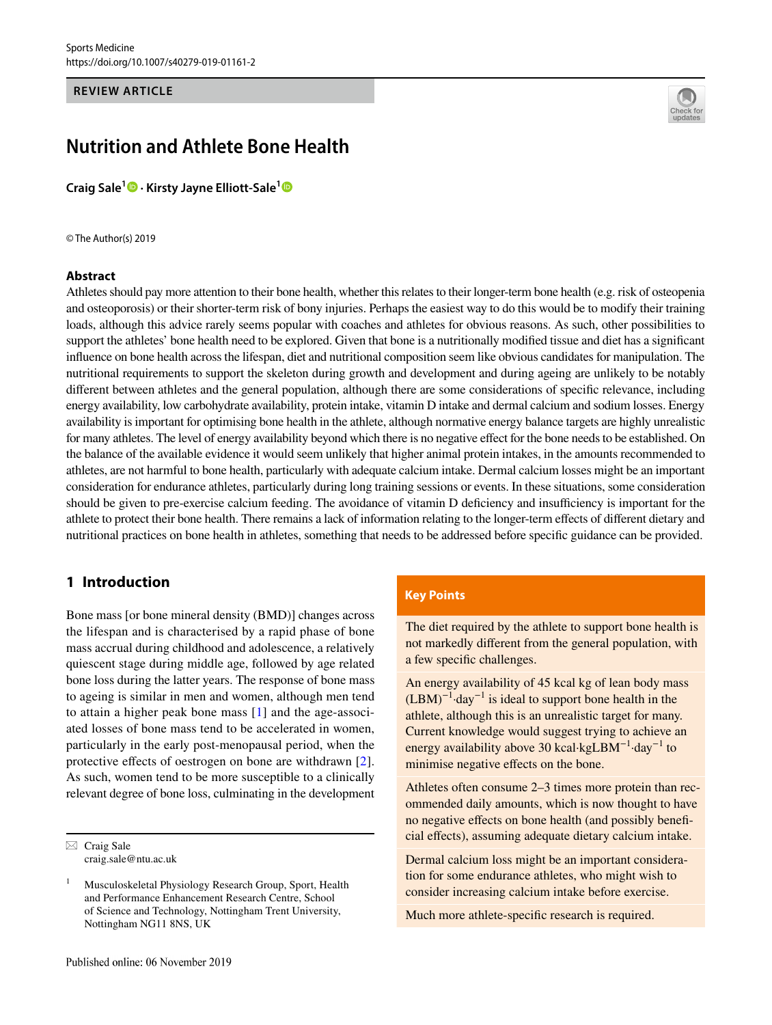### **REVIEW ARTICLE**



# **Nutrition and Athlete Bone Health**

**Craig Sale1 · Kirsty Jayne Elliott‑Sale[1](http://orcid.org/0000-0003-1122-5099)**

© The Author(s) 2019

#### **Abstract**

Athletes should pay more attention to their bone health, whether this relates to their longer-term bone health (e.g. risk of osteopenia and osteoporosis) or their shorter-term risk of bony injuries. Perhaps the easiest way to do this would be to modify their training loads, although this advice rarely seems popular with coaches and athletes for obvious reasons. As such, other possibilities to support the athletes' bone health need to be explored. Given that bone is a nutritionally modified tissue and diet has a significant infuence on bone health across the lifespan, diet and nutritional composition seem like obvious candidates for manipulation. The nutritional requirements to support the skeleton during growth and development and during ageing are unlikely to be notably diferent between athletes and the general population, although there are some considerations of specifc relevance, including energy availability, low carbohydrate availability, protein intake, vitamin D intake and dermal calcium and sodium losses. Energy availability is important for optimising bone health in the athlete, although normative energy balance targets are highly unrealistic for many athletes. The level of energy availability beyond which there is no negative efect for the bone needs to be established. On the balance of the available evidence it would seem unlikely that higher animal protein intakes, in the amounts recommended to athletes, are not harmful to bone health, particularly with adequate calcium intake. Dermal calcium losses might be an important consideration for endurance athletes, particularly during long training sessions or events. In these situations, some consideration should be given to pre-exercise calcium feeding. The avoidance of vitamin D deficiency and insufficiency is important for the athlete to protect their bone health. There remains a lack of information relating to the longer-term efects of diferent dietary and nutritional practices on bone health in athletes, something that needs to be addressed before specifc guidance can be provided.

# **1 Introduction**

Bone mass [or bone mineral density (BMD)] changes across the lifespan and is characterised by a rapid phase of bone mass accrual during childhood and adolescence, a relatively quiescent stage during middle age, followed by age related bone loss during the latter years. The response of bone mass to ageing is similar in men and women, although men tend to attain a higher peak bone mass [[1\]](#page-10-0) and the age-associated losses of bone mass tend to be accelerated in women, particularly in the early post-menopausal period, when the protective efects of oestrogen on bone are withdrawn [[2](#page-10-1)]. As such, women tend to be more susceptible to a clinically relevant degree of bone loss, culminating in the development

## **Key Points**

The diet required by the athlete to support bone health is not markedly diferent from the general population, with a few specifc challenges.

An energy availability of 45 kcal kg of lean body mass  $(LBM)^{-1}$ ·day<sup>-1</sup> is ideal to support bone health in the athlete, although this is an unrealistic target for many. Current knowledge would suggest trying to achieve an energy availability above 30 kcal·kgLBM−1·day−1 to minimise negative effects on the bone.

Athletes often consume 2–3 times more protein than recommended daily amounts, which is now thought to have no negative effects on bone health (and possibly beneficial efects), assuming adequate dietary calcium intake.

Dermal calcium loss might be an important consideration for some endurance athletes, who might wish to consider increasing calcium intake before exercise.

Much more athlete-specifc research is required.

 $\boxtimes$  Craig Sale craig.sale@ntu.ac.uk

<sup>&</sup>lt;sup>1</sup> Musculoskeletal Physiology Research Group, Sport, Health and Performance Enhancement Research Centre, School of Science and Technology, Nottingham Trent University, Nottingham NG11 8NS, UK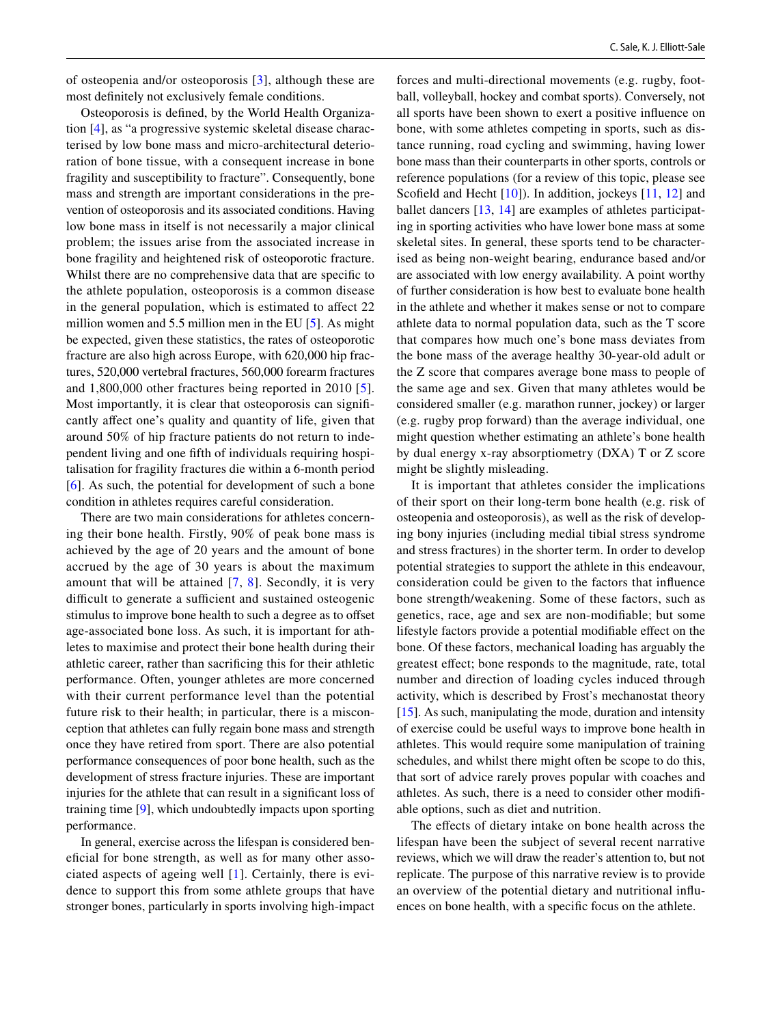of osteopenia and/or osteoporosis [[3](#page-10-2)], although these are most defnitely not exclusively female conditions.

Osteoporosis is defned, by the World Health Organization [[4\]](#page-10-3), as "a progressive systemic skeletal disease characterised by low bone mass and micro-architectural deterioration of bone tissue, with a consequent increase in bone fragility and susceptibility to fracture". Consequently, bone mass and strength are important considerations in the prevention of osteoporosis and its associated conditions. Having low bone mass in itself is not necessarily a major clinical problem; the issues arise from the associated increase in bone fragility and heightened risk of osteoporotic fracture. Whilst there are no comprehensive data that are specific to the athlete population, osteoporosis is a common disease in the general population, which is estimated to affect 22 million women and 5.5 million men in the EU [\[5](#page-10-4)]. As might be expected, given these statistics, the rates of osteoporotic fracture are also high across Europe, with 620,000 hip fractures, 520,000 vertebral fractures, 560,000 forearm fractures and 1,800,000 other fractures being reported in 2010 [[5](#page-10-4)]. Most importantly, it is clear that osteoporosis can signifcantly afect one's quality and quantity of life, given that around 50% of hip fracture patients do not return to independent living and one ffth of individuals requiring hospitalisation for fragility fractures die within a 6-month period [\[6\]](#page-10-5). As such, the potential for development of such a bone condition in athletes requires careful consideration.

There are two main considerations for athletes concerning their bone health. Firstly, 90% of peak bone mass is achieved by the age of 20 years and the amount of bone accrued by the age of 30 years is about the maximum amount that will be attained [[7,](#page-10-6) [8](#page-10-7)]. Secondly, it is very difficult to generate a sufficient and sustained osteogenic stimulus to improve bone health to such a degree as to offset age-associated bone loss. As such, it is important for athletes to maximise and protect their bone health during their athletic career, rather than sacrifcing this for their athletic performance. Often, younger athletes are more concerned with their current performance level than the potential future risk to their health; in particular, there is a misconception that athletes can fully regain bone mass and strength once they have retired from sport. There are also potential performance consequences of poor bone health, such as the development of stress fracture injuries. These are important injuries for the athlete that can result in a signifcant loss of training time [[9](#page-10-8)], which undoubtedly impacts upon sporting performance.

In general, exercise across the lifespan is considered benefcial for bone strength, as well as for many other associated aspects of ageing well [[1](#page-10-0)]. Certainly, there is evidence to support this from some athlete groups that have stronger bones, particularly in sports involving high-impact forces and multi-directional movements (e.g. rugby, football, volleyball, hockey and combat sports). Conversely, not all sports have been shown to exert a positive infuence on bone, with some athletes competing in sports, such as distance running, road cycling and swimming, having lower bone mass than their counterparts in other sports, controls or reference populations (for a review of this topic, please see Scofield and Hecht [[10\]](#page-10-9)). In addition, jockeys [[11](#page-10-10), [12\]](#page-10-11) and ballet dancers [[13](#page-10-12), [14\]](#page-10-13) are examples of athletes participating in sporting activities who have lower bone mass at some skeletal sites. In general, these sports tend to be characterised as being non-weight bearing, endurance based and/or are associated with low energy availability. A point worthy of further consideration is how best to evaluate bone health in the athlete and whether it makes sense or not to compare athlete data to normal population data, such as the T score that compares how much one's bone mass deviates from the bone mass of the average healthy 30-year-old adult or the Z score that compares average bone mass to people of the same age and sex. Given that many athletes would be considered smaller (e.g. marathon runner, jockey) or larger (e.g. rugby prop forward) than the average individual, one might question whether estimating an athlete's bone health by dual energy x-ray absorptiometry (DXA) T or Z score might be slightly misleading.

It is important that athletes consider the implications of their sport on their long-term bone health (e.g. risk of osteopenia and osteoporosis), as well as the risk of developing bony injuries (including medial tibial stress syndrome and stress fractures) in the shorter term. In order to develop potential strategies to support the athlete in this endeavour, consideration could be given to the factors that infuence bone strength/weakening. Some of these factors, such as genetics, race, age and sex are non-modifable; but some lifestyle factors provide a potential modifable efect on the bone. Of these factors, mechanical loading has arguably the greatest effect; bone responds to the magnitude, rate, total number and direction of loading cycles induced through activity, which is described by Frost's mechanostat theory [\[15](#page-10-14)]. As such, manipulating the mode, duration and intensity of exercise could be useful ways to improve bone health in athletes. This would require some manipulation of training schedules, and whilst there might often be scope to do this, that sort of advice rarely proves popular with coaches and athletes. As such, there is a need to consider other modifable options, such as diet and nutrition.

The effects of dietary intake on bone health across the lifespan have been the subject of several recent narrative reviews, which we will draw the reader's attention to, but not replicate. The purpose of this narrative review is to provide an overview of the potential dietary and nutritional infuences on bone health, with a specifc focus on the athlete.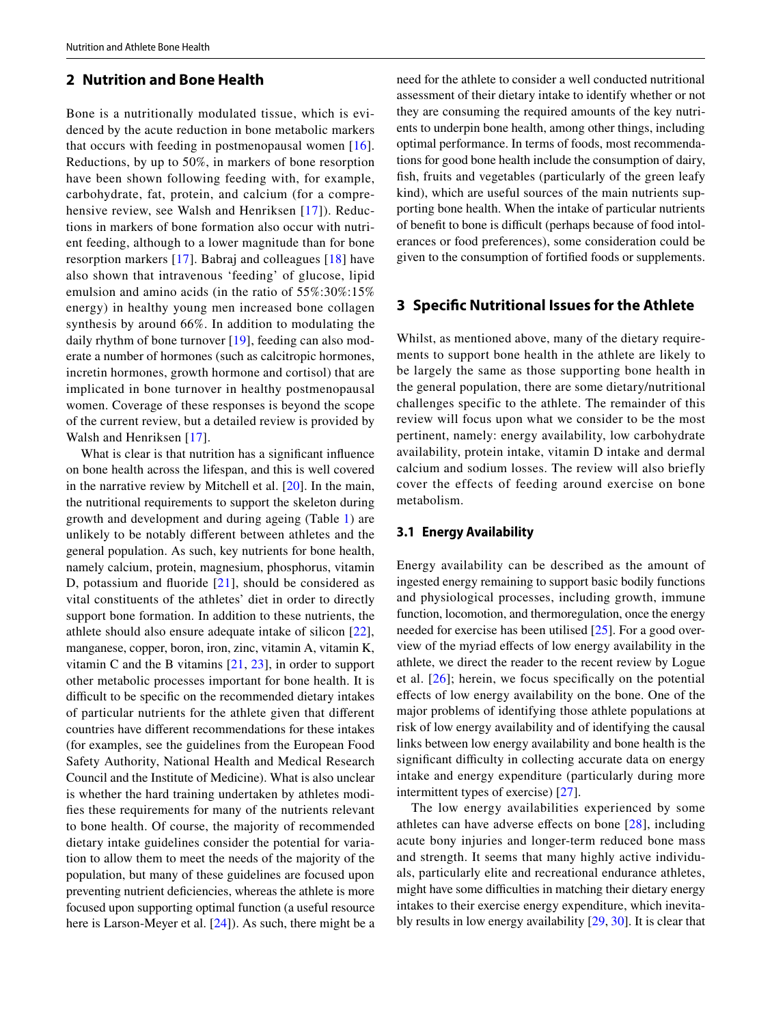## <span id="page-2-0"></span>**2 Nutrition and Bone Health**

Bone is a nutritionally modulated tissue, which is evidenced by the acute reduction in bone metabolic markers that occurs with feeding in postmenopausal women  $[16]$  $[16]$  $[16]$ . Reductions, by up to 50%, in markers of bone resorption have been shown following feeding with, for example, carbohydrate, fat, protein, and calcium (for a compre-hensive review, see Walsh and Henriksen [\[17\]](#page-10-16)). Reductions in markers of bone formation also occur with nutrient feeding, although to a lower magnitude than for bone resorption markers [[17](#page-10-16)]. Babraj and colleagues [[18](#page-10-17)] have also shown that intravenous 'feeding' of glucose, lipid emulsion and amino acids (in the ratio of 55%:30%:15% energy) in healthy young men increased bone collagen synthesis by around 66%. In addition to modulating the daily rhythm of bone turnover [[19](#page-10-18)], feeding can also moderate a number of hormones (such as calcitropic hormones, incretin hormones, growth hormone and cortisol) that are implicated in bone turnover in healthy postmenopausal women. Coverage of these responses is beyond the scope of the current review, but a detailed review is provided by Walsh and Henriksen [\[17\]](#page-10-16).

What is clear is that nutrition has a significant influence on bone health across the lifespan, and this is well covered in the narrative review by Mitchell et al. [\[20](#page-10-19)]. In the main, the nutritional requirements to support the skeleton during growth and development and during ageing (Table [1](#page-3-0)) are unlikely to be notably diferent between athletes and the general population. As such, key nutrients for bone health, namely calcium, protein, magnesium, phosphorus, vitamin D, potassium and fuoride [[21](#page-10-20)], should be considered as vital constituents of the athletes' diet in order to directly support bone formation. In addition to these nutrients, the athlete should also ensure adequate intake of silicon [[22\]](#page-10-21), manganese, copper, boron, iron, zinc, vitamin A, vitamin K, vitamin C and the B vitamins [\[21](#page-10-20), [23\]](#page-10-22), in order to support other metabolic processes important for bone health. It is difficult to be specific on the recommended dietary intakes of particular nutrients for the athlete given that diferent countries have diferent recommendations for these intakes (for examples, see the guidelines from the European Food Safety Authority, National Health and Medical Research Council and the Institute of Medicine). What is also unclear is whether the hard training undertaken by athletes modifes these requirements for many of the nutrients relevant to bone health. Of course, the majority of recommended dietary intake guidelines consider the potential for variation to allow them to meet the needs of the majority of the population, but many of these guidelines are focused upon preventing nutrient defciencies, whereas the athlete is more focused upon supporting optimal function (a useful resource here is Larson-Meyer et al. [\[24](#page-10-23)]). As such, there might be a need for the athlete to consider a well conducted nutritional assessment of their dietary intake to identify whether or not they are consuming the required amounts of the key nutrients to underpin bone health, among other things, including optimal performance. In terms of foods, most recommendations for good bone health include the consumption of dairy, fsh, fruits and vegetables (particularly of the green leafy kind), which are useful sources of the main nutrients supporting bone health. When the intake of particular nutrients of benefit to bone is difficult (perhaps because of food intolerances or food preferences), some consideration could be given to the consumption of fortifed foods or supplements.

#### **3 Specifc Nutritional Issues for the Athlete**

Whilst, as mentioned above, many of the dietary requirements to support bone health in the athlete are likely to be largely the same as those supporting bone health in the general population, there are some dietary/nutritional challenges specific to the athlete. The remainder of this review will focus upon what we consider to be the most pertinent, namely: energy availability, low carbohydrate availability, protein intake, vitamin D intake and dermal calcium and sodium losses. The review will also briefly cover the effects of feeding around exercise on bone metabolism.

#### **3.1 Energy Availability**

Energy availability can be described as the amount of ingested energy remaining to support basic bodily functions and physiological processes, including growth, immune function, locomotion, and thermoregulation, once the energy needed for exercise has been utilised [\[25](#page-10-24)]. For a good overview of the myriad efects of low energy availability in the athlete, we direct the reader to the recent review by Logue et al. [[26](#page-10-25)]; herein, we focus specifcally on the potential efects of low energy availability on the bone. One of the major problems of identifying those athlete populations at risk of low energy availability and of identifying the causal links between low energy availability and bone health is the significant difficulty in collecting accurate data on energy intake and energy expenditure (particularly during more intermittent types of exercise) [[27\]](#page-10-26).

The low energy availabilities experienced by some athletes can have adverse efects on bone [[28\]](#page-10-27), including acute bony injuries and longer-term reduced bone mass and strength. It seems that many highly active individuals, particularly elite and recreational endurance athletes, might have some difficulties in matching their dietary energy intakes to their exercise energy expenditure, which inevitably results in low energy availability [[29,](#page-10-28) [30\]](#page-10-29). It is clear that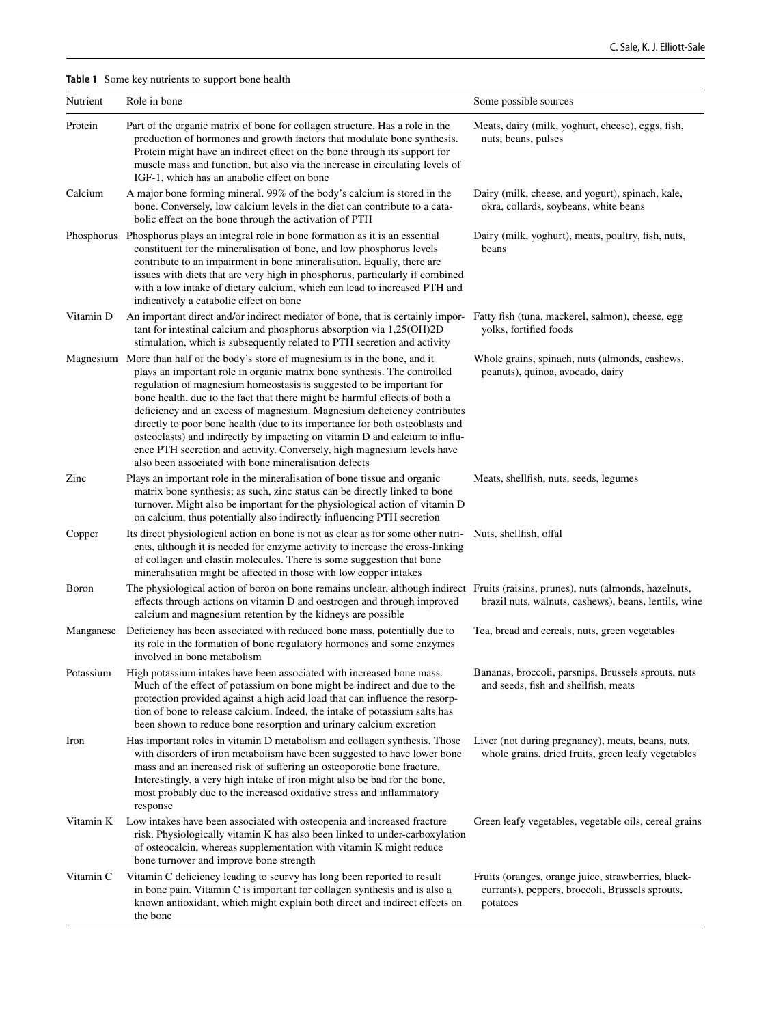<span id="page-3-0"></span>**Table 1** Some key nutrients to support bone health

| Nutrient      | Role in bone                                                                                                                                                                                                                                                                                                                                                                                                                                                                                                                                                                                                                                                                                     | Some possible sources                                                                                              |
|---------------|--------------------------------------------------------------------------------------------------------------------------------------------------------------------------------------------------------------------------------------------------------------------------------------------------------------------------------------------------------------------------------------------------------------------------------------------------------------------------------------------------------------------------------------------------------------------------------------------------------------------------------------------------------------------------------------------------|--------------------------------------------------------------------------------------------------------------------|
| Protein       | Part of the organic matrix of bone for collagen structure. Has a role in the<br>production of hormones and growth factors that modulate bone synthesis.<br>Protein might have an indirect effect on the bone through its support for<br>muscle mass and function, but also via the increase in circulating levels of<br>IGF-1, which has an anabolic effect on bone                                                                                                                                                                                                                                                                                                                              | Meats, dairy (milk, yoghurt, cheese), eggs, fish,<br>nuts, beans, pulses                                           |
| Calcium       | A major bone forming mineral. 99% of the body's calcium is stored in the<br>bone. Conversely, low calcium levels in the diet can contribute to a cata-<br>bolic effect on the bone through the activation of PTH                                                                                                                                                                                                                                                                                                                                                                                                                                                                                 | Dairy (milk, cheese, and yogurt), spinach, kale,<br>okra, collards, soybeans, white beans                          |
|               | Phosphorus Phosphorus plays an integral role in bone formation as it is an essential<br>constituent for the mineralisation of bone, and low phosphorus levels<br>contribute to an impairment in bone mineralisation. Equally, there are<br>issues with diets that are very high in phosphorus, particularly if combined<br>with a low intake of dietary calcium, which can lead to increased PTH and<br>indicatively a catabolic effect on bone                                                                                                                                                                                                                                                  | Dairy (milk, yoghurt), meats, poultry, fish, nuts,<br>beans                                                        |
| Vitamin D     | An important direct and/or indirect mediator of bone, that is certainly impor-<br>tant for intestinal calcium and phosphorus absorption via 1,25(OH)2D<br>stimulation, which is subsequently related to PTH secretion and activity                                                                                                                                                                                                                                                                                                                                                                                                                                                               | Fatty fish (tuna, mackerel, salmon), cheese, egg<br>yolks, fortified foods                                         |
|               | Magnesium More than half of the body's store of magnesium is in the bone, and it<br>plays an important role in organic matrix bone synthesis. The controlled<br>regulation of magnesium homeostasis is suggested to be important for<br>bone health, due to the fact that there might be harmful effects of both a<br>deficiency and an excess of magnesium. Magnesium deficiency contributes<br>directly to poor bone health (due to its importance for both osteoblasts and<br>osteoclasts) and indirectly by impacting on vitamin D and calcium to influ-<br>ence PTH secretion and activity. Conversely, high magnesium levels have<br>also been associated with bone mineralisation defects | Whole grains, spinach, nuts (almonds, cashews,<br>peanuts), quinoa, avocado, dairy                                 |
| Zinc          | Plays an important role in the mineralisation of bone tissue and organic<br>matrix bone synthesis; as such, zinc status can be directly linked to bone<br>turnover. Might also be important for the physiological action of vitamin D<br>on calcium, thus potentially also indirectly influencing PTH secretion                                                                                                                                                                                                                                                                                                                                                                                  | Meats, shellfish, nuts, seeds, legumes                                                                             |
| Copper        | Its direct physiological action on bone is not as clear as for some other nutri-<br>ents, although it is needed for enzyme activity to increase the cross-linking<br>of collagen and elastin molecules. There is some suggestion that bone<br>mineralisation might be affected in those with low copper intakes                                                                                                                                                                                                                                                                                                                                                                                  | Nuts, shellfish, offal                                                                                             |
| <b>B</b> oron | The physiological action of boron on bone remains unclear, although indirect Fruits (raisins, prunes), nuts (almonds, hazelnuts,<br>effects through actions on vitamin D and oestrogen and through improved<br>calcium and magnesium retention by the kidneys are possible                                                                                                                                                                                                                                                                                                                                                                                                                       | brazil nuts, walnuts, cashews), beans, lentils, wine                                                               |
| Manganese     | Deficiency has been associated with reduced bone mass, potentially due to<br>its role in the formation of bone regulatory hormones and some enzymes<br>involved in bone metabolism                                                                                                                                                                                                                                                                                                                                                                                                                                                                                                               | Tea, bread and cereals, nuts, green vegetables                                                                     |
| Potassium     | High potassium intakes have been associated with increased bone mass.<br>Much of the effect of potassium on bone might be indirect and due to the<br>protection provided against a high acid load that can influence the resorp-<br>tion of bone to release calcium. Indeed, the intake of potassium salts has<br>been shown to reduce bone resorption and urinary calcium excretion                                                                                                                                                                                                                                                                                                             | Bananas, broccoli, parsnips, Brussels sprouts, nuts<br>and seeds, fish and shellfish, meats                        |
| Iron          | Has important roles in vitamin D metabolism and collagen synthesis. Those<br>with disorders of iron metabolism have been suggested to have lower bone<br>mass and an increased risk of suffering an osteoporotic bone fracture.<br>Interestingly, a very high intake of iron might also be bad for the bone,<br>most probably due to the increased oxidative stress and inflammatory<br>response                                                                                                                                                                                                                                                                                                 | Liver (not during pregnancy), meats, beans, nuts,<br>whole grains, dried fruits, green leafy vegetables            |
| Vitamin K     | Low intakes have been associated with osteopenia and increased fracture<br>risk. Physiologically vitamin K has also been linked to under-carboxylation<br>of osteocalcin, whereas supplementation with vitamin K might reduce<br>bone turnover and improve bone strength                                                                                                                                                                                                                                                                                                                                                                                                                         | Green leafy vegetables, vegetable oils, cereal grains                                                              |
| Vitamin C     | Vitamin C deficiency leading to scurvy has long been reported to result<br>in bone pain. Vitamin C is important for collagen synthesis and is also a<br>known antioxidant, which might explain both direct and indirect effects on<br>the bone                                                                                                                                                                                                                                                                                                                                                                                                                                                   | Fruits (oranges, orange juice, strawberries, black-<br>currants), peppers, broccoli, Brussels sprouts,<br>potatoes |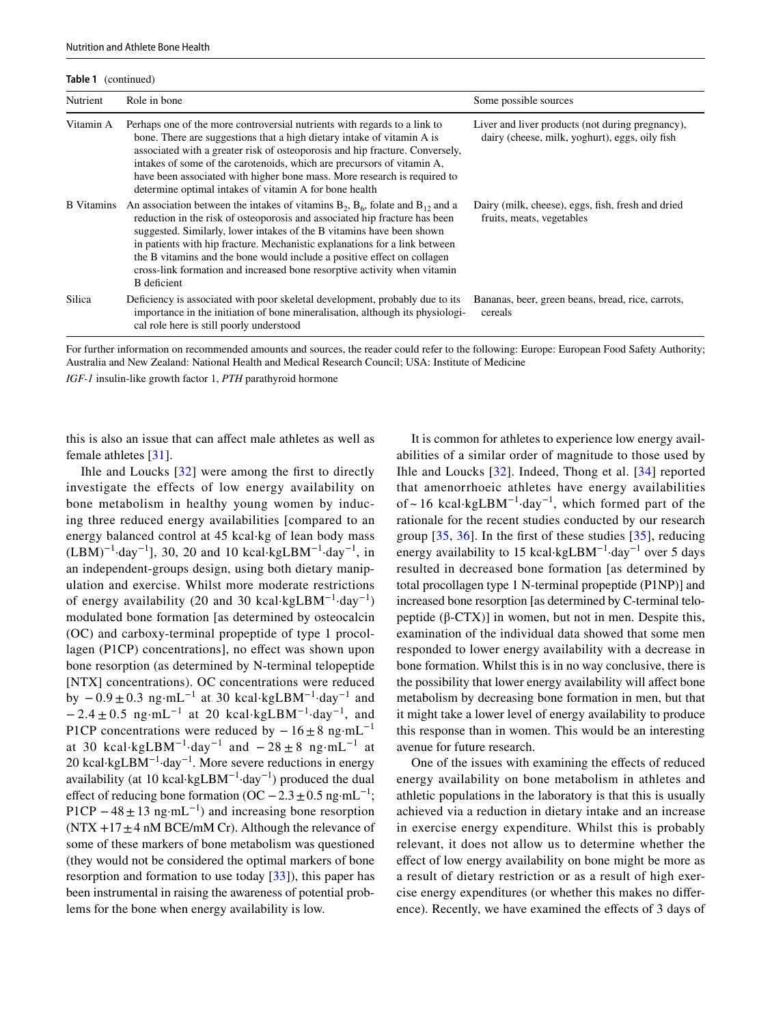**Table 1** (continued)

| Nutrient          | Role in bone                                                                                                                                                                                                                                                                                                                                                                                                                                                                                               | Some possible sources                                                                              |
|-------------------|------------------------------------------------------------------------------------------------------------------------------------------------------------------------------------------------------------------------------------------------------------------------------------------------------------------------------------------------------------------------------------------------------------------------------------------------------------------------------------------------------------|----------------------------------------------------------------------------------------------------|
| Vitamin A         | Perhaps one of the more controversial nutrients with regards to a link to<br>bone. There are suggestions that a high dietary intake of vitamin A is<br>associated with a greater risk of osteoporosis and hip fracture. Conversely,<br>intakes of some of the carotenoids, which are precursors of vitamin A,<br>have been associated with higher bone mass. More research is required to<br>determine optimal intakes of vitamin A for bone health                                                        | Liver and liver products (not during pregnancy),<br>dairy (cheese, milk, yoghurt), eggs, oily fish |
| <b>B</b> Vitamins | An association between the intakes of vitamins $B_2$ , $B_6$ , folate and $B_{12}$ and a<br>reduction in the risk of osteoporosis and associated hip fracture has been<br>suggested. Similarly, lower intakes of the B vitamins have been shown<br>in patients with hip fracture. Mechanistic explanations for a link between<br>the B vitamins and the bone would include a positive effect on collagen<br>cross-link formation and increased bone resorptive activity when vitamin<br><b>B</b> deficient | Dairy (milk, cheese), eggs, fish, fresh and dried<br>fruits, meats, vegetables                     |
| Silica            | Deficiency is associated with poor skeletal development, probably due to its<br>importance in the initiation of bone mineralisation, although its physiologi-<br>cal role here is still poorly understood                                                                                                                                                                                                                                                                                                  | Bananas, beer, green beans, bread, rice, carrots,<br>cereals                                       |

For further information on recommended amounts and sources, the reader could refer to the following: Europe: European Food Safety Authority; Australia and New Zealand: National Health and Medical Research Council; USA: Institute of Medicine

*IGF-1* insulin-like growth factor 1, *PTH* parathyroid hormone

this is also an issue that can afect male athletes as well as female athletes [\[31](#page-10-30)].

Ihle and Loucks [[32](#page-10-31)] were among the frst to directly investigate the effects of low energy availability on bone metabolism in healthy young women by inducing three reduced energy availabilities [compared to an energy balanced control at 45 kcal·kg of lean body mass  $(LBM)^{-1}$ ·day<sup>-1</sup>], 30, 20 and 10 kcal·kgLBM<sup>-1</sup>·day<sup>-1</sup>, in an independent-groups design, using both dietary manipulation and exercise. Whilst more moderate restrictions of energy availability (20 and 30 kcal⋅kgLBM<sup>-1</sup>⋅day<sup>-1</sup>) modulated bone formation [as determined by osteocalcin (OC) and carboxy-terminal propeptide of type 1 procollagen (P1CP) concentrations], no efect was shown upon bone resorption (as determined by N-terminal telopeptide [NTX] concentrations). OC concentrations were reduced by  $-0.9 \pm 0.3$  ng·mL<sup>-1</sup> at 30 kcal·kgLBM<sup>-1</sup>·day<sup>-1</sup> and  $-2.4 \pm 0.5$  ng·mL<sup>-1</sup> at 20 kcal·kgLBM<sup>-1</sup>·day<sup>-1</sup>, and P1CP concentrations were reduced by  $-16 \pm 8$  ng·mL<sup>-1</sup> at 30 kcal·kgLBM<sup>-1</sup>·day<sup>-1</sup> and  $-28 \pm 8$  ng·mL<sup>-1</sup> at 20 kcal·kgLBM−1·day−1. More severe reductions in energy availability (at 10 kcal·kgLBM<sup>-1</sup>·day<sup>-1</sup>) produced the dual effect of reducing bone formation (OC  $-2.3 \pm 0.5$  ng·mL<sup>-1</sup>; P1CP  $-48 \pm 13$  ng·mL<sup>-1</sup>) and increasing bone resorption  $(NTX +17 \pm 4 \text{ nM}$  BCE/mM Cr). Although the relevance of some of these markers of bone metabolism was questioned (they would not be considered the optimal markers of bone resorption and formation to use today [[33\]](#page-10-32)), this paper has been instrumental in raising the awareness of potential problems for the bone when energy availability is low.

It is common for athletes to experience low energy availabilities of a similar order of magnitude to those used by Ihle and Loucks [[32](#page-10-31)]. Indeed, Thong et al. [\[34\]](#page-10-33) reported that amenorrhoeic athletes have energy availabilities of ~ 16 kcal·kgLBM<sup>-1</sup>·day<sup>-1</sup>, which formed part of the rationale for the recent studies conducted by our research group [[35,](#page-11-0) [36\]](#page-11-1). In the frst of these studies [[35](#page-11-0)], reducing energy availability to 15 kcal·kgLBM−1·day−1 over 5 days resulted in decreased bone formation [as determined by total procollagen type 1 N-terminal propeptide (P1NP)] and increased bone resorption [as determined by C-terminal telopeptide (β-CTX)] in women, but not in men. Despite this, examination of the individual data showed that some men responded to lower energy availability with a decrease in bone formation. Whilst this is in no way conclusive, there is the possibility that lower energy availability will afect bone metabolism by decreasing bone formation in men, but that it might take a lower level of energy availability to produce this response than in women. This would be an interesting avenue for future research.

One of the issues with examining the effects of reduced energy availability on bone metabolism in athletes and athletic populations in the laboratory is that this is usually achieved via a reduction in dietary intake and an increase in exercise energy expenditure. Whilst this is probably relevant, it does not allow us to determine whether the efect of low energy availability on bone might be more as a result of dietary restriction or as a result of high exercise energy expenditures (or whether this makes no diference). Recently, we have examined the efects of 3 days of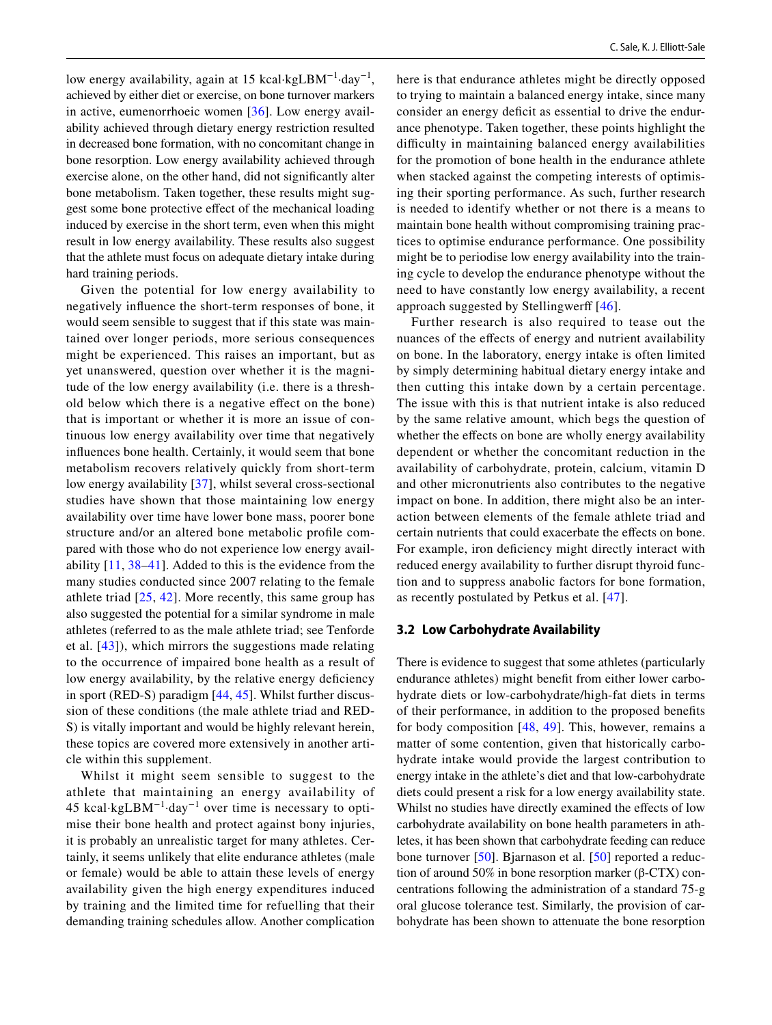low energy availability, again at 15 kcal·kgLBM<sup> $-1$ </sup>·day<sup>-1</sup>, achieved by either diet or exercise, on bone turnover markers in active, eumenorrhoeic women [[36](#page-11-1)]. Low energy availability achieved through dietary energy restriction resulted in decreased bone formation, with no concomitant change in bone resorption. Low energy availability achieved through exercise alone, on the other hand, did not signifcantly alter bone metabolism. Taken together, these results might suggest some bone protective efect of the mechanical loading induced by exercise in the short term, even when this might result in low energy availability. These results also suggest that the athlete must focus on adequate dietary intake during hard training periods.

Given the potential for low energy availability to negatively infuence the short-term responses of bone, it would seem sensible to suggest that if this state was maintained over longer periods, more serious consequences might be experienced. This raises an important, but as yet unanswered, question over whether it is the magnitude of the low energy availability (i.e. there is a threshold below which there is a negative efect on the bone) that is important or whether it is more an issue of continuous low energy availability over time that negatively infuences bone health. Certainly, it would seem that bone metabolism recovers relatively quickly from short-term low energy availability [[37\]](#page-11-2), whilst several cross-sectional studies have shown that those maintaining low energy availability over time have lower bone mass, poorer bone structure and/or an altered bone metabolic profle compared with those who do not experience low energy availability [\[11,](#page-10-10) [38](#page-11-3)[–41\]](#page-11-4). Added to this is the evidence from the many studies conducted since 2007 relating to the female athlete triad [[25,](#page-10-24) [42\]](#page-11-5). More recently, this same group has also suggested the potential for a similar syndrome in male athletes (referred to as the male athlete triad; see Tenforde et al. [\[43\]](#page-11-6)), which mirrors the suggestions made relating to the occurrence of impaired bone health as a result of low energy availability, by the relative energy deficiency in sport (RED-S) paradigm [[44,](#page-11-7) [45](#page-11-8)]. Whilst further discussion of these conditions (the male athlete triad and RED-S) is vitally important and would be highly relevant herein, these topics are covered more extensively in another article within this supplement.

Whilst it might seem sensible to suggest to the athlete that maintaining an energy availability of 45 kcal·kgLBM<sup> $-1$ </sup>·day<sup> $-1$ </sup> over time is necessary to optimise their bone health and protect against bony injuries, it is probably an unrealistic target for many athletes. Certainly, it seems unlikely that elite endurance athletes (male or female) would be able to attain these levels of energy availability given the high energy expenditures induced by training and the limited time for refuelling that their demanding training schedules allow. Another complication here is that endurance athletes might be directly opposed to trying to maintain a balanced energy intake, since many consider an energy deficit as essential to drive the endurance phenotype. Taken together, these points highlight the difficulty in maintaining balanced energy availabilities for the promotion of bone health in the endurance athlete when stacked against the competing interests of optimising their sporting performance. As such, further research is needed to identify whether or not there is a means to maintain bone health without compromising training practices to optimise endurance performance. One possibility might be to periodise low energy availability into the training cycle to develop the endurance phenotype without the need to have constantly low energy availability, a recent approach suggested by Stellingwerff [[46\]](#page-11-9).

Further research is also required to tease out the nuances of the efects of energy and nutrient availability on bone. In the laboratory, energy intake is often limited by simply determining habitual dietary energy intake and then cutting this intake down by a certain percentage. The issue with this is that nutrient intake is also reduced by the same relative amount, which begs the question of whether the effects on bone are wholly energy availability dependent or whether the concomitant reduction in the availability of carbohydrate, protein, calcium, vitamin D and other micronutrients also contributes to the negative impact on bone. In addition, there might also be an interaction between elements of the female athlete triad and certain nutrients that could exacerbate the efects on bone. For example, iron deficiency might directly interact with reduced energy availability to further disrupt thyroid function and to suppress anabolic factors for bone formation, as recently postulated by Petkus et al. [\[47\]](#page-11-10).

#### **3.2 Low Carbohydrate Availability**

There is evidence to suggest that some athletes (particularly endurance athletes) might beneft from either lower carbohydrate diets or low-carbohydrate/high-fat diets in terms of their performance, in addition to the proposed benefts for body composition [[48](#page-11-11), [49\]](#page-11-12). This, however, remains a matter of some contention, given that historically carbohydrate intake would provide the largest contribution to energy intake in the athlete's diet and that low-carbohydrate diets could present a risk for a low energy availability state. Whilst no studies have directly examined the effects of low carbohydrate availability on bone health parameters in athletes, it has been shown that carbohydrate feeding can reduce bone turnover [[50](#page-11-13)]. Bjarnason et al. [\[50](#page-11-13)] reported a reduction of around 50% in bone resorption marker (β-CTX) concentrations following the administration of a standard 75-g oral glucose tolerance test. Similarly, the provision of carbohydrate has been shown to attenuate the bone resorption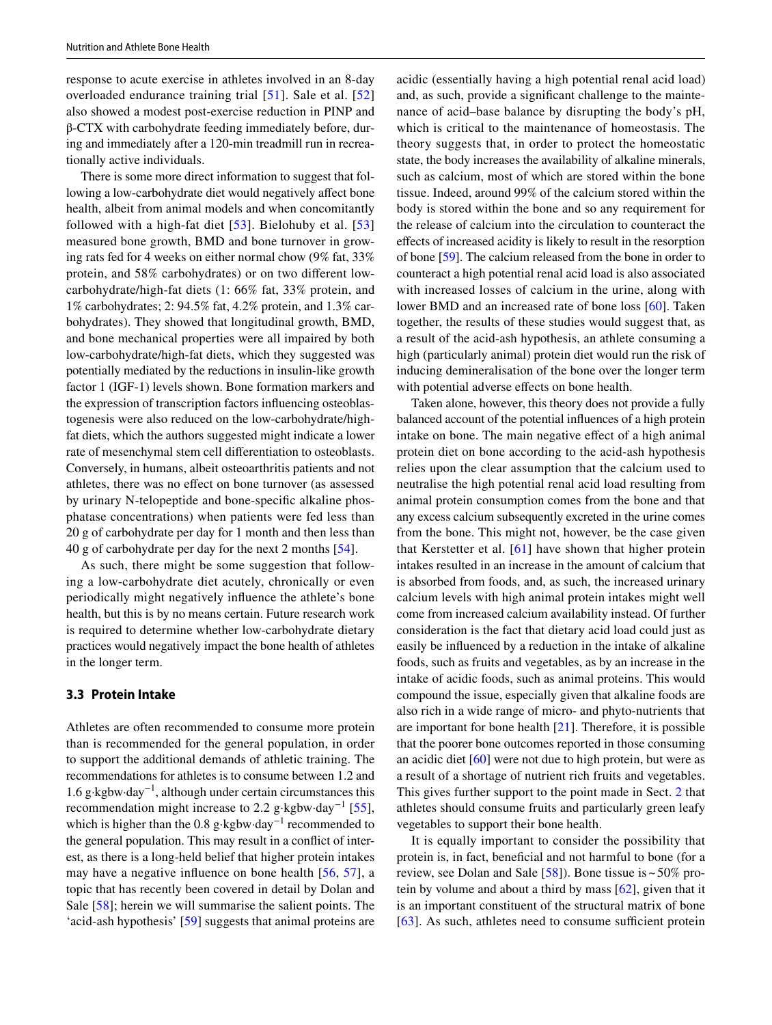response to acute exercise in athletes involved in an 8-day overloaded endurance training trial [[51\]](#page-11-14). Sale et al. [\[52\]](#page-11-15) also showed a modest post-exercise reduction in PINP and β-CTX with carbohydrate feeding immediately before, during and immediately after a 120-min treadmill run in recreationally active individuals.

There is some more direct information to suggest that following a low-carbohydrate diet would negatively afect bone health, albeit from animal models and when concomitantly followed with a high-fat diet  $[53]$ . Bielohuby et al.  $[53]$ measured bone growth, BMD and bone turnover in growing rats fed for 4 weeks on either normal chow (9% fat, 33% protein, and 58% carbohydrates) or on two diferent lowcarbohydrate/high-fat diets (1: 66% fat, 33% protein, and 1% carbohydrates; 2: 94.5% fat, 4.2% protein, and 1.3% carbohydrates). They showed that longitudinal growth, BMD, and bone mechanical properties were all impaired by both low-carbohydrate/high-fat diets, which they suggested was potentially mediated by the reductions in insulin-like growth factor 1 (IGF-1) levels shown. Bone formation markers and the expression of transcription factors infuencing osteoblastogenesis were also reduced on the low-carbohydrate/highfat diets, which the authors suggested might indicate a lower rate of mesenchymal stem cell diferentiation to osteoblasts. Conversely, in humans, albeit osteoarthritis patients and not athletes, there was no efect on bone turnover (as assessed by urinary N-telopeptide and bone-specifc alkaline phosphatase concentrations) when patients were fed less than 20 g of carbohydrate per day for 1 month and then less than 40 g of carbohydrate per day for the next 2 months [[54\]](#page-11-17).

As such, there might be some suggestion that following a low-carbohydrate diet acutely, chronically or even periodically might negatively infuence the athlete's bone health, but this is by no means certain. Future research work is required to determine whether low-carbohydrate dietary practices would negatively impact the bone health of athletes in the longer term.

## **3.3 Protein Intake**

Athletes are often recommended to consume more protein than is recommended for the general population, in order to support the additional demands of athletic training. The recommendations for athletes is to consume between 1.2 and 1.6 g·kgbw·day−1, although under certain circumstances this recommendation might increase to 2.2 g⋅kgbw⋅day<sup>-1</sup> [[55](#page-11-18)], which is higher than the 0.8 g⋅kgbw⋅day<sup>-1</sup> recommended to the general population. This may result in a confict of interest, as there is a long-held belief that higher protein intakes may have a negative infuence on bone health [[56](#page-11-19), [57](#page-11-20)], a topic that has recently been covered in detail by Dolan and Sale [\[58](#page-11-21)]; herein we will summarise the salient points. The 'acid-ash hypothesis' [\[59](#page-11-22)] suggests that animal proteins are acidic (essentially having a high potential renal acid load) and, as such, provide a signifcant challenge to the maintenance of acid–base balance by disrupting the body's pH, which is critical to the maintenance of homeostasis. The theory suggests that, in order to protect the homeostatic state, the body increases the availability of alkaline minerals, such as calcium, most of which are stored within the bone tissue. Indeed, around 99% of the calcium stored within the body is stored within the bone and so any requirement for the release of calcium into the circulation to counteract the efects of increased acidity is likely to result in the resorption of bone [[59\]](#page-11-22). The calcium released from the bone in order to counteract a high potential renal acid load is also associated with increased losses of calcium in the urine, along with lower BMD and an increased rate of bone loss [[60\]](#page-11-23). Taken together, the results of these studies would suggest that, as a result of the acid-ash hypothesis, an athlete consuming a high (particularly animal) protein diet would run the risk of inducing demineralisation of the bone over the longer term with potential adverse effects on bone health.

Taken alone, however, this theory does not provide a fully balanced account of the potential infuences of a high protein intake on bone. The main negative efect of a high animal protein diet on bone according to the acid-ash hypothesis relies upon the clear assumption that the calcium used to neutralise the high potential renal acid load resulting from animal protein consumption comes from the bone and that any excess calcium subsequently excreted in the urine comes from the bone. This might not, however, be the case given that Kerstetter et al. [[61](#page-11-24)] have shown that higher protein intakes resulted in an increase in the amount of calcium that is absorbed from foods, and, as such, the increased urinary calcium levels with high animal protein intakes might well come from increased calcium availability instead. Of further consideration is the fact that dietary acid load could just as easily be infuenced by a reduction in the intake of alkaline foods, such as fruits and vegetables, as by an increase in the intake of acidic foods, such as animal proteins. This would compound the issue, especially given that alkaline foods are also rich in a wide range of micro- and phyto-nutrients that are important for bone health [\[21](#page-10-20)]. Therefore, it is possible that the poorer bone outcomes reported in those consuming an acidic diet [\[60](#page-11-23)] were not due to high protein, but were as a result of a shortage of nutrient rich fruits and vegetables. This gives further support to the point made in Sect. [2](#page-2-0) that athletes should consume fruits and particularly green leafy vegetables to support their bone health.

It is equally important to consider the possibility that protein is, in fact, benefcial and not harmful to bone (for a review, see Dolan and Sale  $[58]$  $[58]$  $[58]$ ). Bone tissue is ~50% protein by volume and about a third by mass [[62\]](#page-11-25), given that it is an important constituent of the structural matrix of bone  $[63]$  $[63]$ . As such, athletes need to consume sufficient protein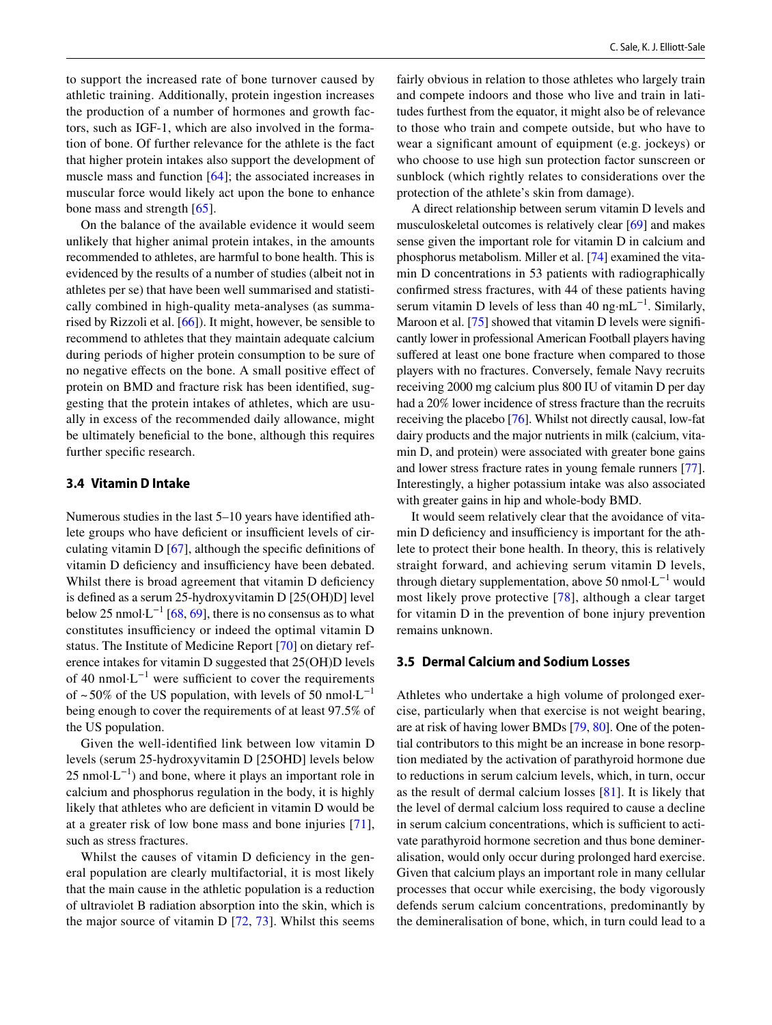to support the increased rate of bone turnover caused by athletic training. Additionally, protein ingestion increases the production of a number of hormones and growth factors, such as IGF-1, which are also involved in the formation of bone. Of further relevance for the athlete is the fact that higher protein intakes also support the development of muscle mass and function [[64\]](#page-11-27); the associated increases in muscular force would likely act upon the bone to enhance bone mass and strength [\[65](#page-11-28)].

On the balance of the available evidence it would seem unlikely that higher animal protein intakes, in the amounts recommended to athletes, are harmful to bone health. This is evidenced by the results of a number of studies (albeit not in athletes per se) that have been well summarised and statistically combined in high-quality meta-analyses (as summarised by Rizzoli et al. [\[66](#page-11-29)]). It might, however, be sensible to recommend to athletes that they maintain adequate calcium during periods of higher protein consumption to be sure of no negative efects on the bone. A small positive efect of protein on BMD and fracture risk has been identifed, suggesting that the protein intakes of athletes, which are usually in excess of the recommended daily allowance, might be ultimately benefcial to the bone, although this requires further specifc research.

#### **3.4 Vitamin D Intake**

Numerous studies in the last 5–10 years have identifed athlete groups who have deficient or insufficient levels of circulating vitamin  $D$  [[67](#page-11-30)], although the specific definitions of vitamin D deficiency and insufficiency have been debated. Whilst there is broad agreement that vitamin D deficiency is defned as a serum 25-hydroxyvitamin D [25(OH)D] level below 25 nmol⋅L<sup>-1</sup> [[68,](#page-11-31) [69](#page-11-32)], there is no consensus as to what constitutes insufficiency or indeed the optimal vitamin D status. The Institute of Medicine Report [\[70](#page-11-33)] on dietary reference intakes for vitamin D suggested that 25(OH)D levels of 40 nmol⋅L<sup>-1</sup> were sufficient to cover the requirements of ~50% of the US population, with levels of 50 nmol $\text{L}^{-1}$ being enough to cover the requirements of at least 97.5% of the US population.

Given the well-identifed link between low vitamin D levels (serum 25-hydroxyvitamin D [25OHD] levels below  $25 \text{ nmol·L}^{-1}$ ) and bone, where it plays an important role in calcium and phosphorus regulation in the body, it is highly likely that athletes who are deficient in vitamin D would be at a greater risk of low bone mass and bone injuries [[71](#page-11-34)], such as stress fractures.

Whilst the causes of vitamin D deficiency in the general population are clearly multifactorial, it is most likely that the main cause in the athletic population is a reduction of ultraviolet B radiation absorption into the skin, which is the major source of vitamin D [[72,](#page-11-35) [73\]](#page-11-36). Whilst this seems fairly obvious in relation to those athletes who largely train and compete indoors and those who live and train in latitudes furthest from the equator, it might also be of relevance to those who train and compete outside, but who have to wear a signifcant amount of equipment (e.g. jockeys) or who choose to use high sun protection factor sunscreen or sunblock (which rightly relates to considerations over the protection of the athlete's skin from damage).

A direct relationship between serum vitamin D levels and musculoskeletal outcomes is relatively clear [\[69](#page-11-32)] and makes sense given the important role for vitamin D in calcium and phosphorus metabolism. Miller et al. [\[74\]](#page-11-37) examined the vitamin D concentrations in 53 patients with radiographically confrmed stress fractures, with 44 of these patients having serum vitamin D levels of less than 40 ng·mL<sup>-1</sup>. Similarly, Maroon et al. [[75\]](#page-12-0) showed that vitamin D levels were significantly lower in professional American Football players having suffered at least one bone fracture when compared to those players with no fractures. Conversely, female Navy recruits receiving 2000 mg calcium plus 800 IU of vitamin D per day had a 20% lower incidence of stress fracture than the recruits receiving the placebo [\[76\]](#page-12-1). Whilst not directly causal, low-fat dairy products and the major nutrients in milk (calcium, vitamin D, and protein) were associated with greater bone gains and lower stress fracture rates in young female runners [[77](#page-12-2)]. Interestingly, a higher potassium intake was also associated with greater gains in hip and whole-body BMD.

It would seem relatively clear that the avoidance of vitamin D deficiency and insufficiency is important for the athlete to protect their bone health. In theory, this is relatively straight forward, and achieving serum vitamin D levels, through dietary supplementation, above 50 nmol⋅L<sup>-1</sup> would most likely prove protective [\[78\]](#page-12-3), although a clear target for vitamin D in the prevention of bone injury prevention remains unknown.

#### **3.5 Dermal Calcium and Sodium Losses**

Athletes who undertake a high volume of prolonged exercise, particularly when that exercise is not weight bearing, are at risk of having lower BMDs [[79,](#page-12-4) [80](#page-12-5)]. One of the potential contributors to this might be an increase in bone resorption mediated by the activation of parathyroid hormone due to reductions in serum calcium levels, which, in turn, occur as the result of dermal calcium losses [[81\]](#page-12-6). It is likely that the level of dermal calcium loss required to cause a decline in serum calcium concentrations, which is sufficient to activate parathyroid hormone secretion and thus bone demineralisation, would only occur during prolonged hard exercise. Given that calcium plays an important role in many cellular processes that occur while exercising, the body vigorously defends serum calcium concentrations, predominantly by the demineralisation of bone, which, in turn could lead to a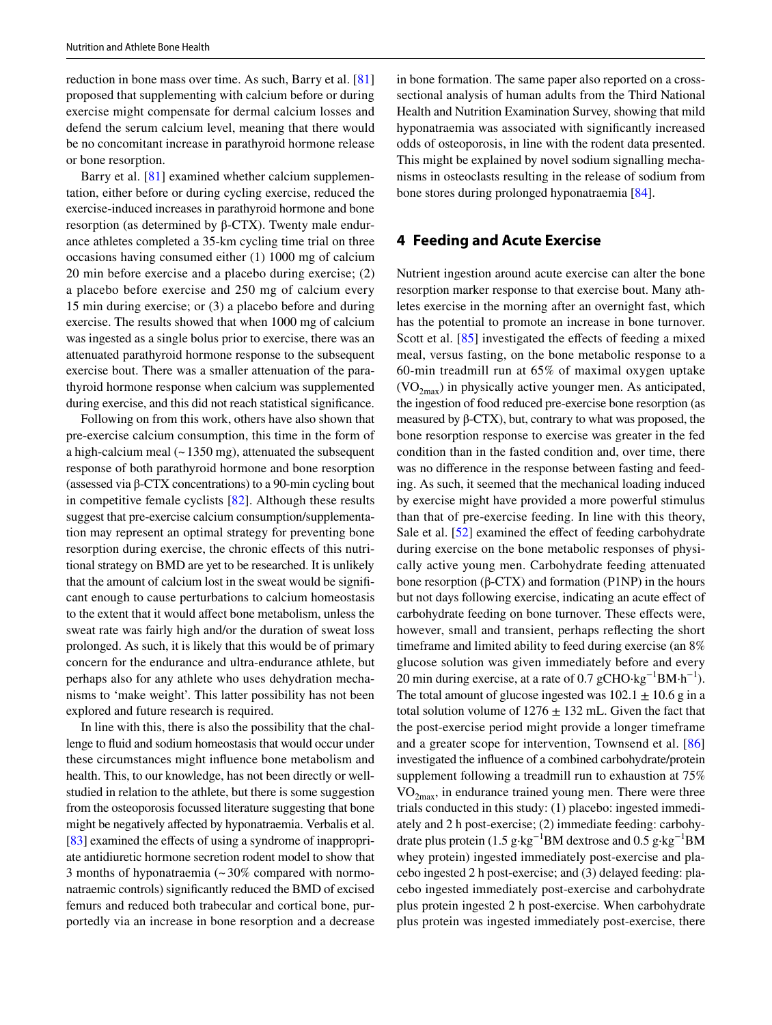reduction in bone mass over time. As such, Barry et al. [[81\]](#page-12-6) proposed that supplementing with calcium before or during exercise might compensate for dermal calcium losses and defend the serum calcium level, meaning that there would be no concomitant increase in parathyroid hormone release or bone resorption.

Barry et al. [\[81\]](#page-12-6) examined whether calcium supplementation, either before or during cycling exercise, reduced the exercise-induced increases in parathyroid hormone and bone resorption (as determined by β-CTX). Twenty male endurance athletes completed a 35-km cycling time trial on three occasions having consumed either (1) 1000 mg of calcium 20 min before exercise and a placebo during exercise; (2) a placebo before exercise and 250 mg of calcium every 15 min during exercise; or (3) a placebo before and during exercise. The results showed that when 1000 mg of calcium was ingested as a single bolus prior to exercise, there was an attenuated parathyroid hormone response to the subsequent exercise bout. There was a smaller attenuation of the parathyroid hormone response when calcium was supplemented during exercise, and this did not reach statistical signifcance.

Following on from this work, others have also shown that pre-exercise calcium consumption, this time in the form of a high-calcium meal  $($   $\sim$  1350 mg), attenuated the subsequent response of both parathyroid hormone and bone resorption (assessed via β-CTX concentrations) to a 90-min cycling bout in competitive female cyclists [[82\]](#page-12-7). Although these results suggest that pre-exercise calcium consumption/supplementation may represent an optimal strategy for preventing bone resorption during exercise, the chronic efects of this nutritional strategy on BMD are yet to be researched. It is unlikely that the amount of calcium lost in the sweat would be signifcant enough to cause perturbations to calcium homeostasis to the extent that it would afect bone metabolism, unless the sweat rate was fairly high and/or the duration of sweat loss prolonged. As such, it is likely that this would be of primary concern for the endurance and ultra-endurance athlete, but perhaps also for any athlete who uses dehydration mechanisms to 'make weight'. This latter possibility has not been explored and future research is required.

In line with this, there is also the possibility that the challenge to fuid and sodium homeostasis that would occur under these circumstances might infuence bone metabolism and health. This, to our knowledge, has not been directly or wellstudied in relation to the athlete, but there is some suggestion from the osteoporosis focussed literature suggesting that bone might be negatively afected by hyponatraemia. Verbalis et al. [\[83](#page-12-8)] examined the effects of using a syndrome of inappropriate antidiuretic hormone secretion rodent model to show that 3 months of hyponatraemia  $\approx 30\%$  compared with normonatraemic controls) signifcantly reduced the BMD of excised femurs and reduced both trabecular and cortical bone, purportedly via an increase in bone resorption and a decrease in bone formation. The same paper also reported on a crosssectional analysis of human adults from the Third National Health and Nutrition Examination Survey, showing that mild hyponatraemia was associated with signifcantly increased odds of osteoporosis, in line with the rodent data presented. This might be explained by novel sodium signalling mechanisms in osteoclasts resulting in the release of sodium from bone stores during prolonged hyponatraemia [[84\]](#page-12-9).

## **4 Feeding and Acute Exercise**

Nutrient ingestion around acute exercise can alter the bone resorption marker response to that exercise bout. Many athletes exercise in the morning after an overnight fast, which has the potential to promote an increase in bone turnover. Scott et al. [[85](#page-12-10)] investigated the effects of feeding a mixed meal, versus fasting, on the bone metabolic response to a 60-min treadmill run at 65% of maximal oxygen uptake  $(VO<sub>2max</sub>)$  in physically active younger men. As anticipated, the ingestion of food reduced pre-exercise bone resorption (as measured by β-CTX), but, contrary to what was proposed, the bone resorption response to exercise was greater in the fed condition than in the fasted condition and, over time, there was no diference in the response between fasting and feeding. As such, it seemed that the mechanical loading induced by exercise might have provided a more powerful stimulus than that of pre-exercise feeding. In line with this theory, Sale et al. [[52\]](#page-11-15) examined the effect of feeding carbohydrate during exercise on the bone metabolic responses of physically active young men. Carbohydrate feeding attenuated bone resorption (β-CTX) and formation (P1NP) in the hours but not days following exercise, indicating an acute efect of carbohydrate feeding on bone turnover. These efects were, however, small and transient, perhaps refecting the short timeframe and limited ability to feed during exercise (an 8% glucose solution was given immediately before and every 20 min during exercise, at a rate of 0.7 gCHO·kg<sup>-1</sup>BM·h<sup>-1</sup>). The total amount of glucose ingested was  $102.1 \pm 10.6$  g in a total solution volume of  $1276 \pm 132$  mL. Given the fact that the post-exercise period might provide a longer timeframe and a greater scope for intervention, Townsend et al. [[86\]](#page-12-11) investigated the infuence of a combined carbohydrate/protein supplement following a treadmill run to exhaustion at 75%  $VO<sub>2max</sub>$ , in endurance trained young men. There were three trials conducted in this study: (1) placebo: ingested immediately and 2 h post-exercise; (2) immediate feeding: carbohydrate plus protein (1.5 g·kg−1BM dextrose and 0.5 g·kg−1BM whey protein) ingested immediately post-exercise and placebo ingested 2 h post-exercise; and (3) delayed feeding: placebo ingested immediately post-exercise and carbohydrate plus protein ingested 2 h post-exercise. When carbohydrate plus protein was ingested immediately post-exercise, there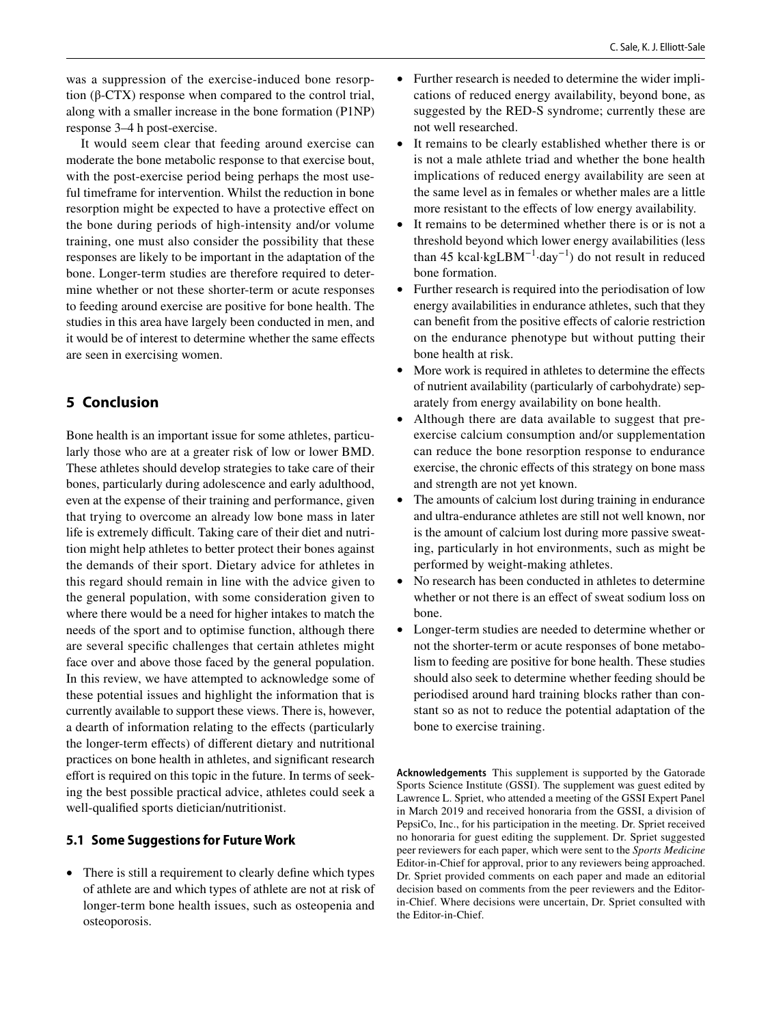was a suppression of the exercise-induced bone resorption (β-CTX) response when compared to the control trial, along with a smaller increase in the bone formation (P1NP) response 3–4 h post-exercise.

It would seem clear that feeding around exercise can moderate the bone metabolic response to that exercise bout, with the post-exercise period being perhaps the most useful timeframe for intervention. Whilst the reduction in bone resorption might be expected to have a protective efect on the bone during periods of high-intensity and/or volume training, one must also consider the possibility that these responses are likely to be important in the adaptation of the bone. Longer-term studies are therefore required to determine whether or not these shorter-term or acute responses to feeding around exercise are positive for bone health. The studies in this area have largely been conducted in men, and it would be of interest to determine whether the same efects are seen in exercising women.

# **5 Conclusion**

Bone health is an important issue for some athletes, particularly those who are at a greater risk of low or lower BMD. These athletes should develop strategies to take care of their bones, particularly during adolescence and early adulthood, even at the expense of their training and performance, given that trying to overcome an already low bone mass in later life is extremely difficult. Taking care of their diet and nutrition might help athletes to better protect their bones against the demands of their sport. Dietary advice for athletes in this regard should remain in line with the advice given to the general population, with some consideration given to where there would be a need for higher intakes to match the needs of the sport and to optimise function, although there are several specifc challenges that certain athletes might face over and above those faced by the general population. In this review, we have attempted to acknowledge some of these potential issues and highlight the information that is currently available to support these views. There is, however, a dearth of information relating to the efects (particularly the longer-term efects) of diferent dietary and nutritional practices on bone health in athletes, and signifcant research effort is required on this topic in the future. In terms of seeking the best possible practical advice, athletes could seek a well-qualifed sports dietician/nutritionist.

## **5.1 Some Suggestions for Future Work**

• There is still a requirement to clearly define which types of athlete are and which types of athlete are not at risk of longer-term bone health issues, such as osteopenia and osteoporosis.

- Further research is needed to determine the wider implications of reduced energy availability, beyond bone, as suggested by the RED-S syndrome; currently these are not well researched.
- It remains to be clearly established whether there is or is not a male athlete triad and whether the bone health implications of reduced energy availability are seen at the same level as in females or whether males are a little more resistant to the effects of low energy availability.
- It remains to be determined whether there is or is not a threshold beyond which lower energy availabilities (less than 45 kcal·kgLBM<sup>-1</sup>·day<sup>-1</sup>) do not result in reduced bone formation.
- Further research is required into the periodisation of low energy availabilities in endurance athletes, such that they can beneft from the positive efects of calorie restriction on the endurance phenotype but without putting their bone health at risk.
- More work is required in athletes to determine the effects of nutrient availability (particularly of carbohydrate) separately from energy availability on bone health.
- Although there are data available to suggest that preexercise calcium consumption and/or supplementation can reduce the bone resorption response to endurance exercise, the chronic efects of this strategy on bone mass and strength are not yet known.
- The amounts of calcium lost during training in endurance and ultra-endurance athletes are still not well known, nor is the amount of calcium lost during more passive sweating, particularly in hot environments, such as might be performed by weight-making athletes.
- No research has been conducted in athletes to determine whether or not there is an effect of sweat sodium loss on bone.
- Longer-term studies are needed to determine whether or not the shorter-term or acute responses of bone metabolism to feeding are positive for bone health. These studies should also seek to determine whether feeding should be periodised around hard training blocks rather than constant so as not to reduce the potential adaptation of the bone to exercise training.

**Acknowledgements** This supplement is supported by the Gatorade Sports Science Institute (GSSI). The supplement was guest edited by Lawrence L. Spriet, who attended a meeting of the GSSI Expert Panel in March 2019 and received honoraria from the GSSI, a division of PepsiCo, Inc., for his participation in the meeting. Dr. Spriet received no honoraria for guest editing the supplement. Dr. Spriet suggested peer reviewers for each paper, which were sent to the *Sports Medicine* Editor-in-Chief for approval, prior to any reviewers being approached. Dr. Spriet provided comments on each paper and made an editorial decision based on comments from the peer reviewers and the Editorin-Chief. Where decisions were uncertain, Dr. Spriet consulted with the Editor-in-Chief.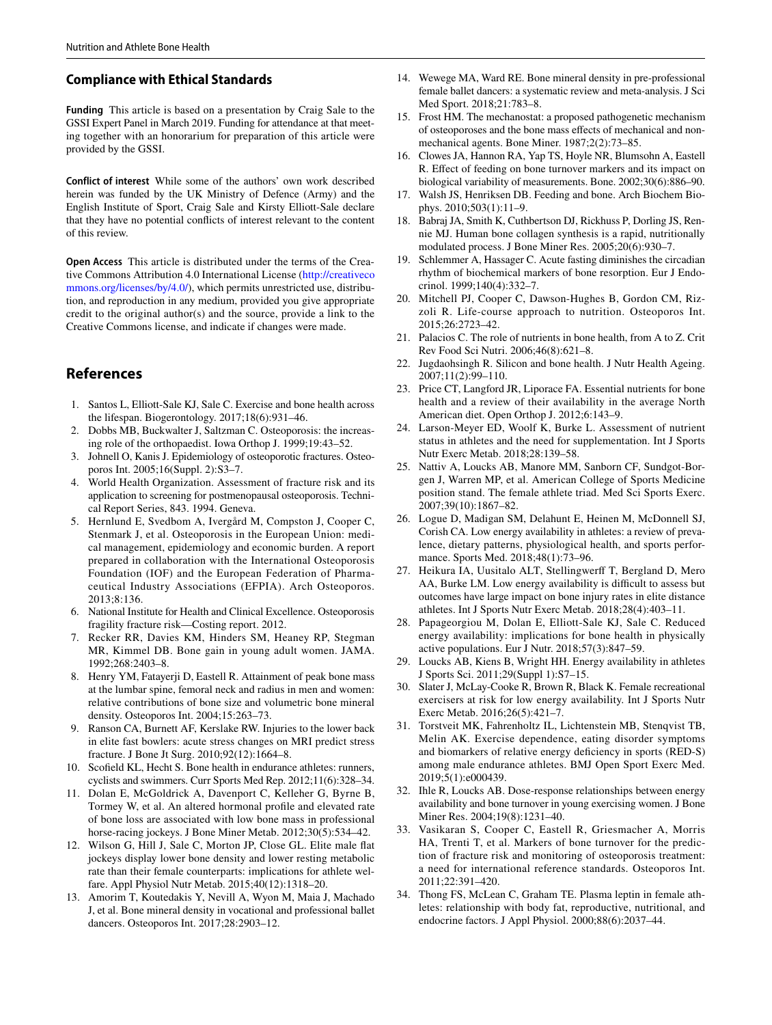#### **Compliance with Ethical Standards**

**Funding** This article is based on a presentation by Craig Sale to the GSSI Expert Panel in March 2019. Funding for attendance at that meeting together with an honorarium for preparation of this article were provided by the GSSI.

**Conflict of interest** While some of the authors' own work described herein was funded by the UK Ministry of Defence (Army) and the English Institute of Sport, Craig Sale and Kirsty Elliott-Sale declare that they have no potential conficts of interest relevant to the content of this review.

**Open Access** This article is distributed under the terms of the Creative Commons Attribution 4.0 International License [\(http://creativeco](http://creativecommons.org/licenses/by/4.0/) [mmons.org/licenses/by/4.0/](http://creativecommons.org/licenses/by/4.0/)), which permits unrestricted use, distribution, and reproduction in any medium, provided you give appropriate credit to the original author(s) and the source, provide a link to the Creative Commons license, and indicate if changes were made.

## **References**

- <span id="page-10-0"></span>1. Santos L, Elliott-Sale KJ, Sale C. Exercise and bone health across the lifespan. Biogerontology. 2017;18(6):931–46.
- <span id="page-10-1"></span>2. Dobbs MB, Buckwalter J, Saltzman C. Osteoporosis: the increasing role of the orthopaedist. Iowa Orthop J. 1999;19:43–52.
- <span id="page-10-2"></span>3. Johnell O, Kanis J. Epidemiology of osteoporotic fractures. Osteoporos Int. 2005;16(Suppl. 2):S3–7.
- <span id="page-10-3"></span>4. World Health Organization. Assessment of fracture risk and its application to screening for postmenopausal osteoporosis. Technical Report Series, 843. 1994. Geneva.
- <span id="page-10-4"></span>5. Hernlund E, Svedbom A, Ivergård M, Compston J, Cooper C, Stenmark J, et al. Osteoporosis in the European Union: medical management, epidemiology and economic burden. A report prepared in collaboration with the International Osteoporosis Foundation (IOF) and the European Federation of Pharmaceutical Industry Associations (EFPIA). Arch Osteoporos.  $2013.8.136$
- <span id="page-10-5"></span>6. National Institute for Health and Clinical Excellence. Osteoporosis fragility fracture risk—Costing report. 2012.
- <span id="page-10-6"></span>7. Recker RR, Davies KM, Hinders SM, Heaney RP, Stegman MR, Kimmel DB. Bone gain in young adult women. JAMA. 1992;268:2403–8.
- <span id="page-10-7"></span>8. Henry YM, Fatayerji D, Eastell R. Attainment of peak bone mass at the lumbar spine, femoral neck and radius in men and women: relative contributions of bone size and volumetric bone mineral density. Osteoporos Int. 2004;15:263–73.
- <span id="page-10-8"></span>9. Ranson CA, Burnett AF, Kerslake RW. Injuries to the lower back in elite fast bowlers: acute stress changes on MRI predict stress fracture. J Bone Jt Surg. 2010;92(12):1664–8.
- <span id="page-10-9"></span>10. Scofeld KL, Hecht S. Bone health in endurance athletes: runners, cyclists and swimmers. Curr Sports Med Rep. 2012;11(6):328–34.
- <span id="page-10-10"></span>11. Dolan E, McGoldrick A, Davenport C, Kelleher G, Byrne B, Tormey W, et al. An altered hormonal profle and elevated rate of bone loss are associated with low bone mass in professional horse-racing jockeys. J Bone Miner Metab. 2012;30(5):534-42.
- <span id="page-10-11"></span>12. Wilson G, Hill J, Sale C, Morton JP, Close GL. Elite male fat jockeys display lower bone density and lower resting metabolic rate than their female counterparts: implications for athlete welfare. Appl Physiol Nutr Metab. 2015;40(12):1318–20.
- <span id="page-10-12"></span>13. Amorim T, Koutedakis Y, Nevill A, Wyon M, Maia J, Machado J, et al. Bone mineral density in vocational and professional ballet dancers. Osteoporos Int. 2017;28:2903–12.
- <span id="page-10-13"></span>14. Wewege MA, Ward RE. Bone mineral density in pre-professional female ballet dancers: a systematic review and meta-analysis. J Sci Med Sport. 2018;21:783–8.
- <span id="page-10-14"></span>15. Frost HM. The mechanostat: a proposed pathogenetic mechanism of osteoporoses and the bone mass efects of mechanical and nonmechanical agents. Bone Miner. 1987;2(2):73–85.
- <span id="page-10-15"></span>16. Clowes JA, Hannon RA, Yap TS, Hoyle NR, Blumsohn A, Eastell R. Efect of feeding on bone turnover markers and its impact on biological variability of measurements. Bone. 2002;30(6):886–90.
- <span id="page-10-16"></span>17. Walsh JS, Henriksen DB. Feeding and bone. Arch Biochem Biophys. 2010;503(1):11–9.
- <span id="page-10-17"></span>18. Babraj JA, Smith K, Cuthbertson DJ, Rickhuss P, Dorling JS, Rennie MJ. Human bone collagen synthesis is a rapid, nutritionally modulated process. J Bone Miner Res. 2005;20(6):930–7.
- <span id="page-10-18"></span>19. Schlemmer A, Hassager C. Acute fasting diminishes the circadian rhythm of biochemical markers of bone resorption. Eur J Endocrinol. 1999;140(4):332–7.
- <span id="page-10-19"></span>20. Mitchell PJ, Cooper C, Dawson-Hughes B, Gordon CM, Rizzoli R. Life-course approach to nutrition. Osteoporos Int. 2015;26:2723–42.
- <span id="page-10-20"></span>21. Palacios C. The role of nutrients in bone health, from A to Z. Crit Rev Food Sci Nutri. 2006;46(8):621–8.
- <span id="page-10-21"></span>22. Jugdaohsingh R. Silicon and bone health. J Nutr Health Ageing. 2007;11(2):99–110.
- <span id="page-10-22"></span>23. Price CT, Langford JR, Liporace FA. Essential nutrients for bone health and a review of their availability in the average North American diet. Open Orthop J. 2012;6:143–9.
- <span id="page-10-23"></span>24. Larson-Meyer ED, Woolf K, Burke L. Assessment of nutrient status in athletes and the need for supplementation. Int J Sports Nutr Exerc Metab. 2018;28:139–58.
- <span id="page-10-24"></span>25. Nattiv A, Loucks AB, Manore MM, Sanborn CF, Sundgot-Borgen J, Warren MP, et al. American College of Sports Medicine position stand. The female athlete triad. Med Sci Sports Exerc. 2007;39(10):1867–82.
- <span id="page-10-25"></span>26. Logue D, Madigan SM, Delahunt E, Heinen M, McDonnell SJ, Corish CA. Low energy availability in athletes: a review of prevalence, dietary patterns, physiological health, and sports performance. Sports Med. 2018;48(1):73–96.
- <span id="page-10-26"></span>27. Heikura IA, Uusitalo ALT, Stellingwerf T, Bergland D, Mero AA, Burke LM. Low energy availability is difficult to assess but outcomes have large impact on bone injury rates in elite distance athletes. Int J Sports Nutr Exerc Metab. 2018;28(4):403–11.
- <span id="page-10-27"></span>28. Papageorgiou M, Dolan E, Elliott-Sale KJ, Sale C. Reduced energy availability: implications for bone health in physically active populations. Eur J Nutr. 2018;57(3):847–59.
- <span id="page-10-28"></span>29. Loucks AB, Kiens B, Wright HH. Energy availability in athletes J Sports Sci. 2011;29(Suppl 1):S7–15.
- <span id="page-10-29"></span>30. Slater J, McLay-Cooke R, Brown R, Black K. Female recreational exercisers at risk for low energy availability. Int J Sports Nutr Exerc Metab. 2016;26(5):421–7.
- <span id="page-10-30"></span>31. Torstveit MK, Fahrenholtz IL, Lichtenstein MB, Stenqvist TB, Melin AK. Exercise dependence, eating disorder symptoms and biomarkers of relative energy defciency in sports (RED-S) among male endurance athletes. BMJ Open Sport Exerc Med. 2019;5(1):e000439.
- <span id="page-10-31"></span>32. Ihle R, Loucks AB. Dose-response relationships between energy availability and bone turnover in young exercising women. J Bone Miner Res. 2004;19(8):1231–40.
- <span id="page-10-32"></span>33. Vasikaran S, Cooper C, Eastell R, Griesmacher A, Morris HA, Trenti T, et al. Markers of bone turnover for the prediction of fracture risk and monitoring of osteoporosis treatment: a need for international reference standards. Osteoporos Int. 2011;22:391–420.
- <span id="page-10-33"></span>34. Thong FS, McLean C, Graham TE. Plasma leptin in female athletes: relationship with body fat, reproductive, nutritional, and endocrine factors. J Appl Physiol. 2000;88(6):2037–44.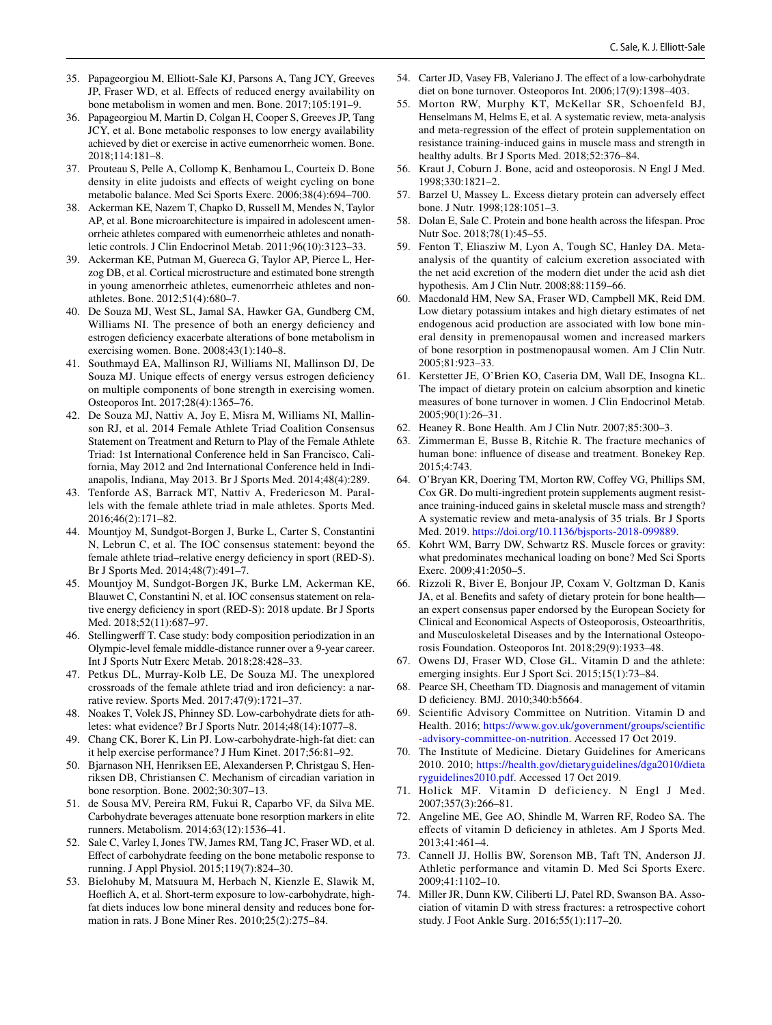- <span id="page-11-0"></span>35. Papageorgiou M, Elliott-Sale KJ, Parsons A, Tang JCY, Greeves JP, Fraser WD, et al. Efects of reduced energy availability on bone metabolism in women and men. Bone. 2017;105:191–9.
- <span id="page-11-1"></span>36. Papageorgiou M, Martin D, Colgan H, Cooper S, Greeves JP, Tang JCY, et al. Bone metabolic responses to low energy availability achieved by diet or exercise in active eumenorrheic women. Bone. 2018;114:181–8.
- <span id="page-11-2"></span>37. Prouteau S, Pelle A, Collomp K, Benhamou L, Courteix D. Bone density in elite judoists and effects of weight cycling on bone metabolic balance. Med Sci Sports Exerc. 2006;38(4):694–700.
- <span id="page-11-3"></span>38. Ackerman KE, Nazem T, Chapko D, Russell M, Mendes N, Taylor AP, et al. Bone microarchitecture is impaired in adolescent amenorrheic athletes compared with eumenorrheic athletes and nonathletic controls. J Clin Endocrinol Metab. 2011;96(10):3123–33.
- 39. Ackerman KE, Putman M, Guereca G, Taylor AP, Pierce L, Herzog DB, et al. Cortical microstructure and estimated bone strength in young amenorrheic athletes, eumenorrheic athletes and nonathletes. Bone. 2012;51(4):680–7.
- 40. De Souza MJ, West SL, Jamal SA, Hawker GA, Gundberg CM, Williams NI. The presence of both an energy deficiency and estrogen defciency exacerbate alterations of bone metabolism in exercising women. Bone. 2008;43(1):140–8.
- <span id="page-11-4"></span>41. Southmayd EA, Mallinson RJ, Williams NI, Mallinson DJ, De Souza MJ. Unique effects of energy versus estrogen deficiency on multiple components of bone strength in exercising women. Osteoporos Int. 2017;28(4):1365–76.
- <span id="page-11-5"></span>42. De Souza MJ, Nattiv A, Joy E, Misra M, Williams NI, Mallinson RJ, et al. 2014 Female Athlete Triad Coalition Consensus Statement on Treatment and Return to Play of the Female Athlete Triad: 1st International Conference held in San Francisco, California, May 2012 and 2nd International Conference held in Indianapolis, Indiana, May 2013. Br J Sports Med. 2014;48(4):289.
- <span id="page-11-6"></span>43. Tenforde AS, Barrack MT, Nattiv A, Fredericson M. Parallels with the female athlete triad in male athletes. Sports Med. 2016;46(2):171–82.
- <span id="page-11-7"></span>44. Mountjoy M, Sundgot-Borgen J, Burke L, Carter S, Constantini N, Lebrun C, et al. The IOC consensus statement: beyond the female athlete triad–relative energy deficiency in sport (RED-S). Br J Sports Med. 2014;48(7):491–7.
- <span id="page-11-8"></span>45. Mountjoy M, Sundgot-Borgen JK, Burke LM, Ackerman KE, Blauwet C, Constantini N, et al. IOC consensus statement on relative energy deficiency in sport (RED-S): 2018 update. Br J Sports Med. 2018;52(11):687–97.
- <span id="page-11-9"></span>46. Stellingwerf T. Case study: body composition periodization in an Olympic-level female middle-distance runner over a 9-year career. Int J Sports Nutr Exerc Metab. 2018;28:428–33.
- <span id="page-11-10"></span>47. Petkus DL, Murray-Kolb LE, De Souza MJ. The unexplored crossroads of the female athlete triad and iron defciency: a narrative review. Sports Med. 2017;47(9):1721–37.
- <span id="page-11-11"></span>48. Noakes T, Volek JS, Phinney SD. Low-carbohydrate diets for athletes: what evidence? Br J Sports Nutr. 2014;48(14):1077–8.
- <span id="page-11-12"></span>49. Chang CK, Borer K, Lin PJ. Low-carbohydrate-high-fat diet: can it help exercise performance? J Hum Kinet. 2017;56:81–92.
- <span id="page-11-13"></span>50. Bjarnason NH, Henriksen EE, Alexandersen P, Christgau S, Henriksen DB, Christiansen C. Mechanism of circadian variation in bone resorption. Bone. 2002;30:307–13.
- <span id="page-11-14"></span>51. de Sousa MV, Pereira RM, Fukui R, Caparbo VF, da Silva ME. Carbohydrate beverages attenuate bone resorption markers in elite runners. Metabolism. 2014;63(12):1536–41.
- <span id="page-11-15"></span>52. Sale C, Varley I, Jones TW, James RM, Tang JC, Fraser WD, et al. Efect of carbohydrate feeding on the bone metabolic response to running. J Appl Physiol. 2015;119(7):824–30.
- <span id="page-11-16"></span>53. Bielohuby M, Matsuura M, Herbach N, Kienzle E, Slawik M, Hoefich A, et al. Short-term exposure to low-carbohydrate, highfat diets induces low bone mineral density and reduces bone formation in rats. J Bone Miner Res. 2010;25(2):275–84.
- <span id="page-11-17"></span>54. Carter JD, Vasey FB, Valeriano J. The efect of a low-carbohydrate diet on bone turnover. Osteoporos Int. 2006;17(9):1398–403.
- <span id="page-11-18"></span>55. Morton RW, Murphy KT, McKellar SR, Schoenfeld BJ, Henselmans M, Helms E, et al. A systematic review, meta-analysis and meta-regression of the effect of protein supplementation on resistance training-induced gains in muscle mass and strength in healthy adults. Br J Sports Med. 2018;52:376–84.
- <span id="page-11-19"></span>56. Kraut J, Coburn J. Bone, acid and osteoporosis. N Engl J Med. 1998;330:1821–2.
- <span id="page-11-20"></span>57. Barzel U, Massey L. Excess dietary protein can adversely efect bone. J Nutr. 1998;128:1051–3.
- <span id="page-11-21"></span>58. Dolan E, Sale C. Protein and bone health across the lifespan. Proc Nutr Soc. 2018;78(1):45–55.
- <span id="page-11-22"></span>59. Fenton T, Eliasziw M, Lyon A, Tough SC, Hanley DA. Metaanalysis of the quantity of calcium excretion associated with the net acid excretion of the modern diet under the acid ash diet hypothesis. Am J Clin Nutr. 2008;88:1159–66.
- <span id="page-11-23"></span>60. Macdonald HM, New SA, Fraser WD, Campbell MK, Reid DM. Low dietary potassium intakes and high dietary estimates of net endogenous acid production are associated with low bone mineral density in premenopausal women and increased markers of bone resorption in postmenopausal women. Am J Clin Nutr. 2005;81:923–33.
- <span id="page-11-24"></span>61. Kerstetter JE, O'Brien KO, Caseria DM, Wall DE, Insogna KL. The impact of dietary protein on calcium absorption and kinetic measures of bone turnover in women. J Clin Endocrinol Metab. 2005;90(1):26–31.
- <span id="page-11-25"></span>62. Heaney R. Bone Health. Am J Clin Nutr. 2007;85:300–3.
- <span id="page-11-26"></span>63. Zimmerman E, Busse B, Ritchie R. The fracture mechanics of human bone: infuence of disease and treatment. Bonekey Rep. 2015;4:743.
- <span id="page-11-27"></span>64. O'Bryan KR, Doering TM, Morton RW, Coffey VG, Phillips SM, Cox GR. Do multi-ingredient protein supplements augment resistance training-induced gains in skeletal muscle mass and strength? A systematic review and meta-analysis of 35 trials. Br J Sports Med. 2019. [https://doi.org/10.1136/bjsports-2018-099889.](https://doi.org/10.1136/bjsports-2018-099889)
- <span id="page-11-28"></span>65. Kohrt WM, Barry DW, Schwartz RS. Muscle forces or gravity: what predominates mechanical loading on bone? Med Sci Sports Exerc. 2009;41:2050–5.
- <span id="page-11-29"></span>66. Rizzoli R, Biver E, Bonjour JP, Coxam V, Goltzman D, Kanis JA, et al. Benefts and safety of dietary protein for bone health an expert consensus paper endorsed by the European Society for Clinical and Economical Aspects of Osteoporosis, Osteoarthritis, and Musculoskeletal Diseases and by the International Osteoporosis Foundation. Osteoporos Int. 2018;29(9):1933–48.
- <span id="page-11-30"></span>67. Owens DJ, Fraser WD, Close GL. Vitamin D and the athlete: emerging insights. Eur J Sport Sci. 2015;15(1):73–84.
- <span id="page-11-31"></span>68. Pearce SH, Cheetham TD. Diagnosis and management of vitamin D defciency. BMJ. 2010;340:b5664.
- <span id="page-11-32"></span>69. Scientifc Advisory Committee on Nutrition. Vitamin D and Health. 2016; [https://www.gov.uk/government/groups/scientifc](https://www.gov.uk/government/groups/scientific-advisory-committee-on-nutrition) [-advisory-committee-on-nutrition.](https://www.gov.uk/government/groups/scientific-advisory-committee-on-nutrition) Accessed 17 Oct 2019.
- <span id="page-11-33"></span>70. The Institute of Medicine. Dietary Guidelines for Americans 2010. 2010; [https://health.gov/dietaryguidelines/dga2010/dieta](https://health.gov/dietaryguidelines/dga2010/dietaryguidelines2010.pdf) [ryguidelines2010.pdf](https://health.gov/dietaryguidelines/dga2010/dietaryguidelines2010.pdf). Accessed 17 Oct 2019.
- <span id="page-11-34"></span>71. Holick MF. Vitamin D deficiency. N Engl J Med. 2007;357(3):266–81.
- <span id="page-11-35"></span>72. Angeline ME, Gee AO, Shindle M, Warren RF, Rodeo SA. The efects of vitamin D defciency in athletes. Am J Sports Med. 2013;41:461–4.
- <span id="page-11-36"></span>73. Cannell JJ, Hollis BW, Sorenson MB, Taft TN, Anderson JJ. Athletic performance and vitamin D. Med Sci Sports Exerc. 2009;41:1102–10.
- <span id="page-11-37"></span>74. Miller JR, Dunn KW, Ciliberti LJ, Patel RD, Swanson BA. Association of vitamin D with stress fractures: a retrospective cohort study. J Foot Ankle Surg. 2016;55(1):117–20.